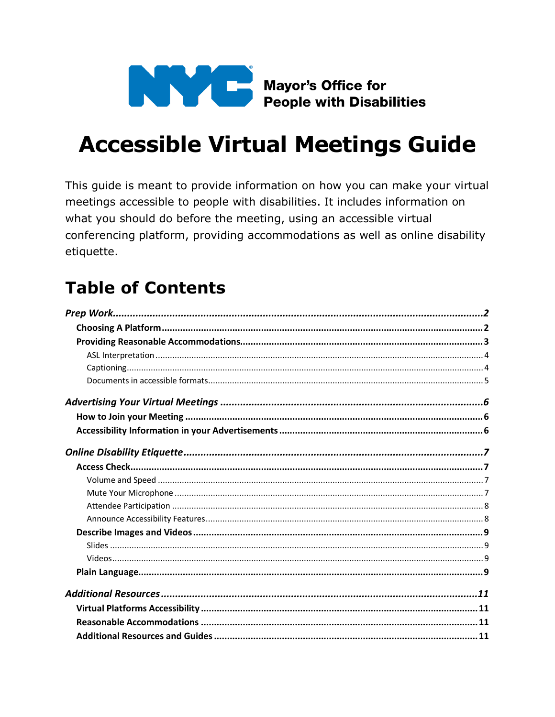

# **Accessible Virtual Meetings Guide**

This guide is meant to provide information on how you can make your virtual meetings accessible to people with disabilities. It includes information on what you should do before the meeting, using an accessible virtual conferencing platform, providing accommodations as well as online disability etiquette.

# **Table of Contents**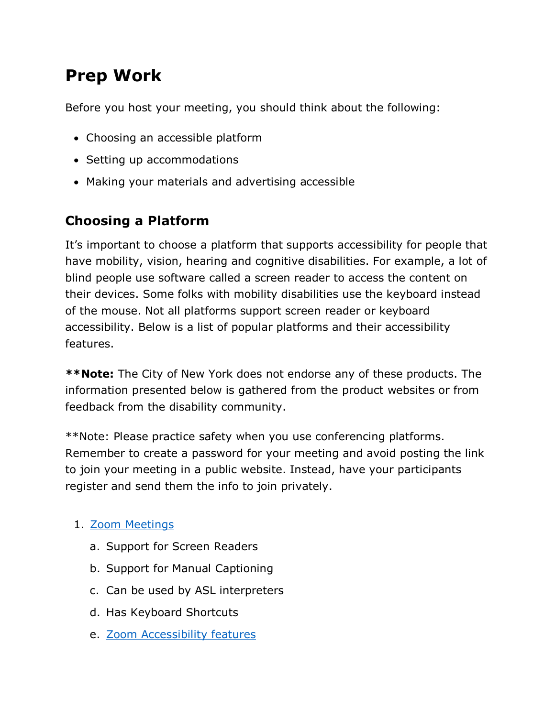# <span id="page-1-0"></span>**Prep Work**

Before you host your meeting, you should think about the following:

- Choosing an accessible platform
- Setting up accommodations
- Making your materials and advertising accessible

# <span id="page-1-1"></span>**Choosing a Platform**

It's important to choose a platform that supports accessibility for people that have mobility, vision, hearing and cognitive disabilities. For example, a lot of blind people use software called a screen reader to access the content on their devices. Some folks with mobility disabilities use the keyboard instead of the mouse. Not all platforms support screen reader or keyboard accessibility. Below is a list of popular platforms and their accessibility features.

**\*\*Note:** The City of New York does not endorse any of these products. The information presented below is gathered from the product websites or from feedback from the disability community.

\*\*Note: Please practice safety when you use conferencing platforms. Remember to create a password for your meeting and avoid posting the link to join your meeting in a public website. Instead, have your participants register and send them the info to join privately.

### 1. [Zoom Meetings](https://www.zoom.us/)

- a. Support for Screen Readers
- b. Support for Manual Captioning
- c. Can be used by ASL interpreters
- d. Has Keyboard Shortcuts
- e. [Zoom Accessibility features](https://zoom.us/accessibility)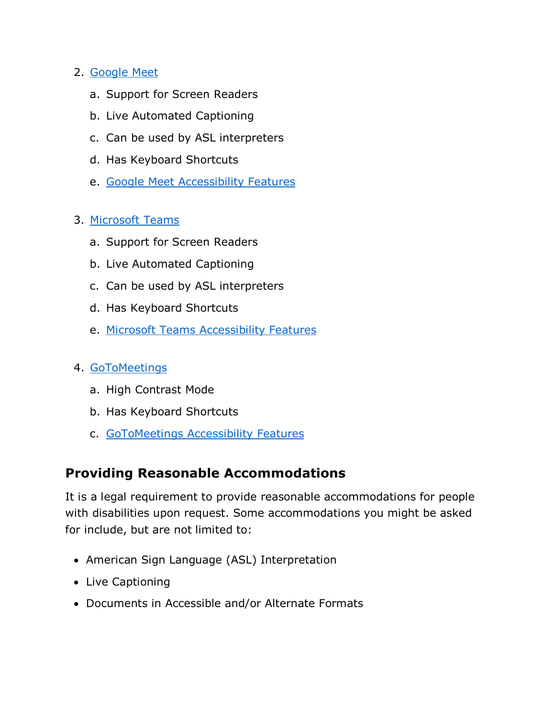#### 2. [Google Meet](https://gsuite.google.com/products/meet/)

- a. Support for Screen Readers
- b. Live Automated Captioning
- c. Can be used by ASL interpreters
- d. Has Keyboard Shortcuts
- e. [Google Meet Accessibility Features](https://support.google.com/meet/answer/7313544?hl=en)

#### 3. [Microsoft Teams](https://www.microsoft.com/en-us/microsoft-365/microsoft-teams/group-chat-software)

- a. Support for Screen Readers
- b. Live Automated Captioning
- c. Can be used by ASL interpreters
- d. Has Keyboard Shortcuts
- e. Microsoft Teams Accessibility Features

#### 4. [GoToMeetings](https://www.gotomeeting.com/)

- a. High Contrast Mode
- b. Has Keyboard Shortcuts
- c. [GoToMeetings Accessibility Features](https://support.goto.com/meeting/help/what-accessbility-features-are-available-in-gotomeeting)

### <span id="page-2-0"></span>**Providing Reasonable Accommodations**

It is a legal requirement to provide reasonable accommodations for people with disabilities upon request. Some accommodations you might be asked for include, but are not limited to:

- American Sign Language (ASL) Interpretation
- Live Captioning
- Documents in Accessible and/or Alternate Formats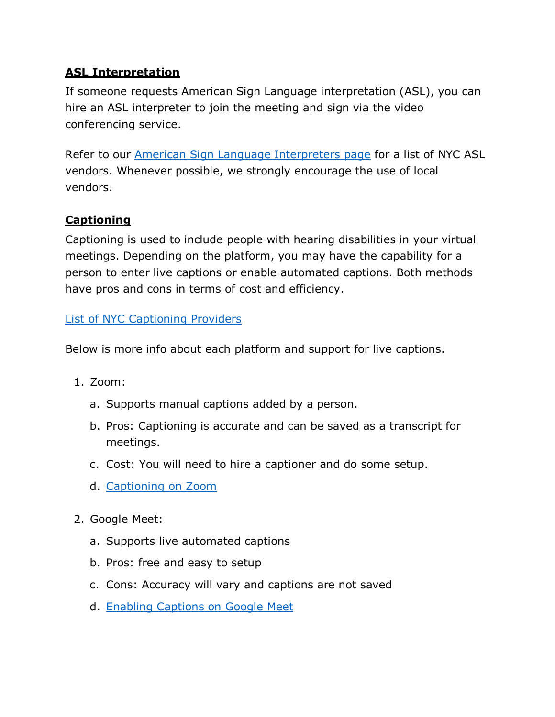### <span id="page-3-0"></span>**ASL Interpretation**

If someone requests American Sign Language interpretation (ASL), you can hire an ASL interpreter to join the meeting and sign via the video conferencing service.

Refer to our [American Sign Language Interpreters page](https://www1.nyc.gov/site/mopd/resources/american-sign-language-interpreters.page) for a list of NYC ASL vendors. Whenever possible, we strongly encourage the use of local vendors.

### <span id="page-3-1"></span>**Captioning**

Captioning is used to include people with hearing disabilities in your virtual meetings. Depending on the platform, you may have the capability for a person to enter live captions or enable automated captions. Both methods have pros and cons in terms of cost and efficiency.

### List of NYC [Captioning Providers](https://www1.nyc.gov/site/mopd/resources/cart-vendors.page)

Below is more info about each platform and support for live captions.

- 1. Zoom:
	- a. Supports manual captions added by a person.
	- b. Pros: Captioning is accurate and can be saved as a transcript for meetings.
	- c. Cost: You will need to hire a captioner and do some setup.
	- d. [Captioning on Zoom](https://support.zoom.us/hc/en-us/articles/207279736-Getting-started-with-closed-captioning)
- 2. Google Meet:
	- a. Supports live automated captions
	- b. Pros: free and easy to setup
	- c. Cons: Accuracy will vary and captions are not saved
	- d. [Enabling Captions on Google Meet](https://support.google.com/meet/answer/9300310?co=GENIE.Platform%3DDesktop&hl=en)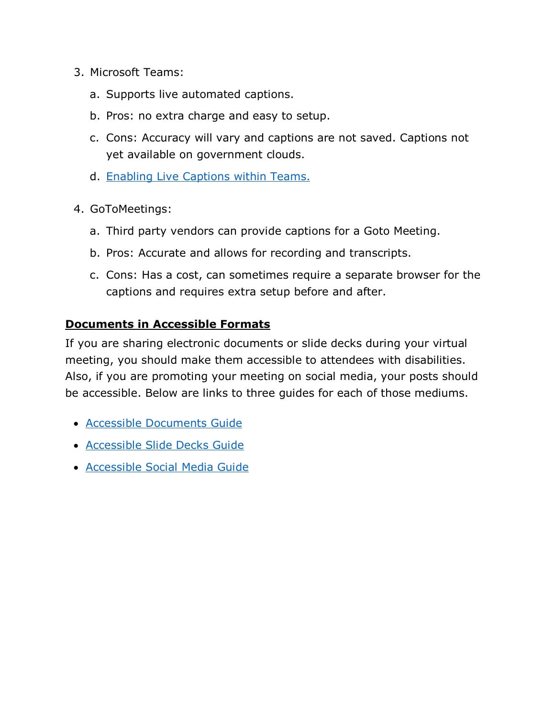- 3. Microsoft Teams:
	- a. Supports live automated captions.
	- b. Pros: no extra charge and easy to setup.
	- c. Cons: Accuracy will vary and captions are not saved. Captions not yet available on government clouds.
	- d. [Enabling Live Captions within Teams](https://support.office.com/en-us/article/use-live-captions-in-a-teams-meeting-4be2d304-f675-4b57-8347-cbd000a21260).
- 4. GoToMeetings:
	- a. Third party vendors can provide captions for a Goto Meeting.
	- b. Pros: Accurate and allows for recording and transcripts.
	- c. Cons: Has a cost, can sometimes require a separate browser for the captions and requires extra setup before and after.

#### <span id="page-4-0"></span>**Documents in Accessible Formats**

If you are sharing electronic documents or slide decks during your virtual meeting, you should make them accessible to attendees with disabilities. Also, if you are promoting your meeting on social media, your posts should be accessible. Below are links to three guides for each of those mediums.

- [Accessible Documents Guide](https://www1.nyc.gov/assets/mopd/downloads/pdf/MOPD-Accessible-Documents-Guide-2020.pdf)
- [Accessible Slide Decks Guide](https://www1.nyc.gov/assets/mopd/downloads/pdf/Slidedecks-and-Presentations-Checklist-November-2019.pdf)
- <span id="page-4-1"></span>• [Accessible Social Media Guide](https://www1.nyc.gov/assets/mopd/downloads/pdf/Accessible-Social-Media-Guide-2019.pdf)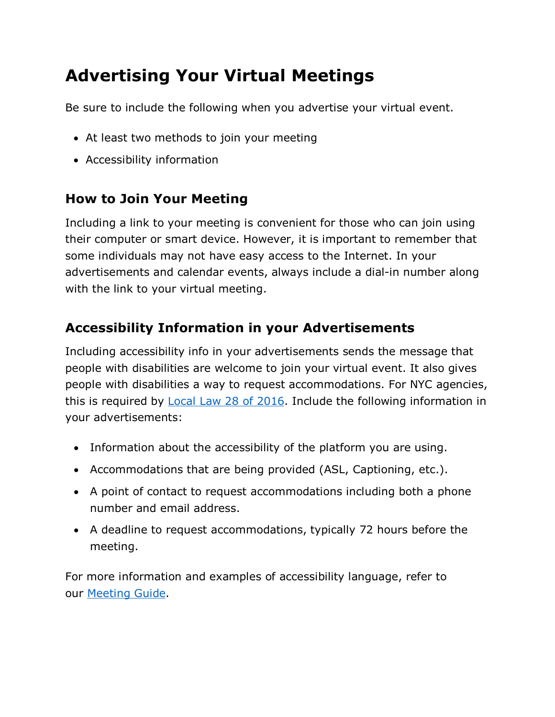# **Advertising Your Virtual Meetings**

Be sure to include the following when you advertise your virtual event.

- At least two methods to join your meeting
- Accessibility information

## <span id="page-5-0"></span>**How to Join Your Meeting**

Including a link to your meeting is convenient for those who can join using their computer or smart device. However, it is important to remember that some individuals may not have easy access to the Internet. In your advertisements and calendar events, always include a dial-in number along with the link to your virtual meeting.

# <span id="page-5-1"></span>**Accessibility Information in your Advertisements**

this is required by Local Law 28 of 2016. Include the following information in Including accessibility info in your advertisements sends the message that people with disabilities are welcome to join your virtual event. It also gives people with disabilities a way to request accommodations. For NYC agencies, your advertisements:

- Information about the accessibility of the platform you are using.
- Accommodations that are being provided (ASL, Captioning, etc.).
- A point of contact to request accommodations including both a phone number and email address.
- A deadline to request accommodations, typically 72 hours before the meeting.

For more information and examples of accessibility language, refer to our [Meeting Guide.](https://www1.nyc.gov/site/mopd/initiatives/mopd-meeting-guide.page)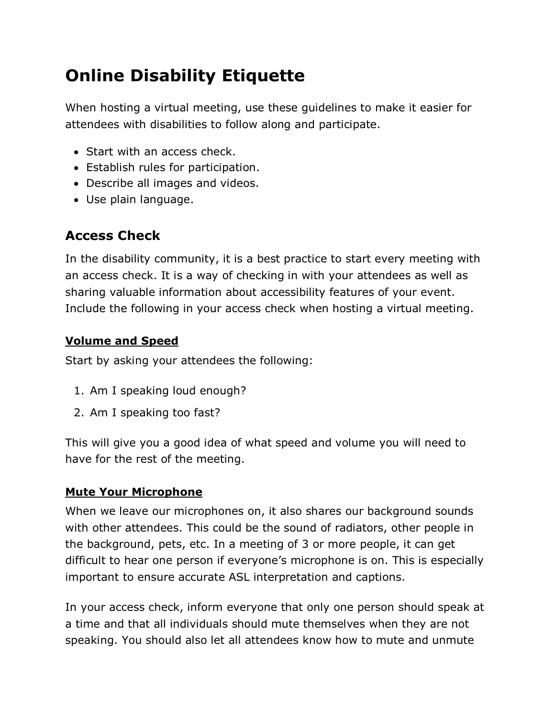# <span id="page-6-0"></span>**Online Disability Etiquette**

When hosting a virtual meeting, use these guidelines to make it easier for attendees with disabilities to follow along and participate.

- Start with an access check.
- Establish rules for participation.
- Describe all images and videos.
- <span id="page-6-1"></span>• Use plain language.

## **Access Check**

In the disability community, it is a best practice to start every meeting with an access check. It is a way of checking in with your attendees as well as sharing valuable information about accessibility features of your event. Include the following in your access check when hosting a virtual meeting.

### <span id="page-6-2"></span>**Volume and Speed**

Start by asking your attendees the following:

- 1. Am I speaking loud enough?
- 2. Am I speaking too fast?

This will give you a good idea of what speed and volume you will need to have for the rest of the meeting.

### <span id="page-6-3"></span>**Mute Your Microphone**

When we leave our microphones on, it also shares our background sounds with other attendees. This could be the sound of radiators, other people in the background, pets, etc. In a meeting of 3 or more people, it can get difficult to hear one person if everyone's microphone is on. This is especially important to ensure accurate ASL interpretation and captions.

In your access check, inform everyone that only one person should speak at a time and that all individuals should mute themselves when they are not speaking. You should also let all attendees know how to mute and unmute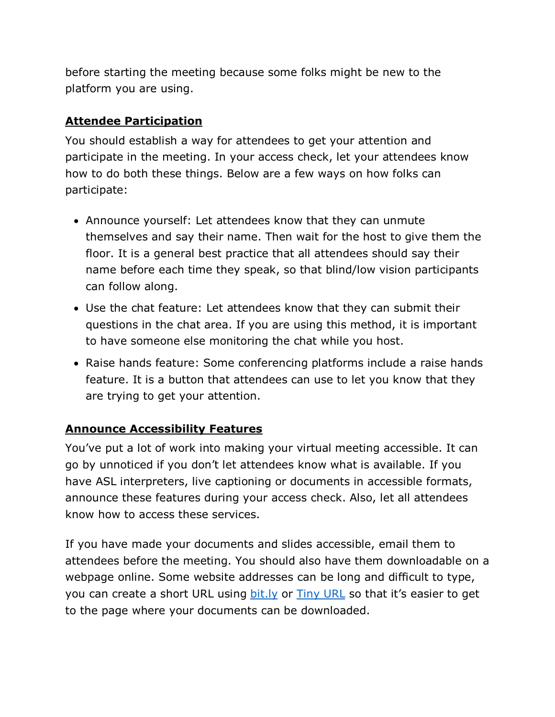before starting the meeting because some folks might be new to the platform you are using.

### <span id="page-7-0"></span>**Attendee Participation**

You should establish a way for attendees to get your attention and participate in the meeting. In your access check, let your attendees know how to do both these things. Below are a few ways on how folks can participate:

- Announce yourself: Let attendees know that they can unmute themselves and say their name. Then wait for the host to give them the floor. It is a general best practice that all attendees should say their name before each time they speak, so that blind/low vision participants can follow along.
- Use the chat feature: Let attendees know that they can submit their questions in the chat area. If you are using this method, it is important to have someone else monitoring the chat while you host.
- Raise hands feature: Some conferencing platforms include a raise hands feature. It is a button that attendees can use to let you know that they are trying to get your attention.

### <span id="page-7-1"></span>**Announce Accessibility Features**

You've put a lot of work into making your virtual meeting accessible. It can go by unnoticed if you don't let attendees know what is available. If you have ASL interpreters, live captioning or documents in accessible formats, announce these features during your access check. Also, let all attendees know how to access these services.

If you have made your documents and slides accessible, email them to attendees before the meeting. You should also have them downloadable on a webpage online. Some website addresses can be long and difficult to type, you can create a short URL using [bit.ly](https://bitly.com/) or [Tiny URL](https://tinyurl.com/) so that it's easier to get to the page where your documents can be downloaded.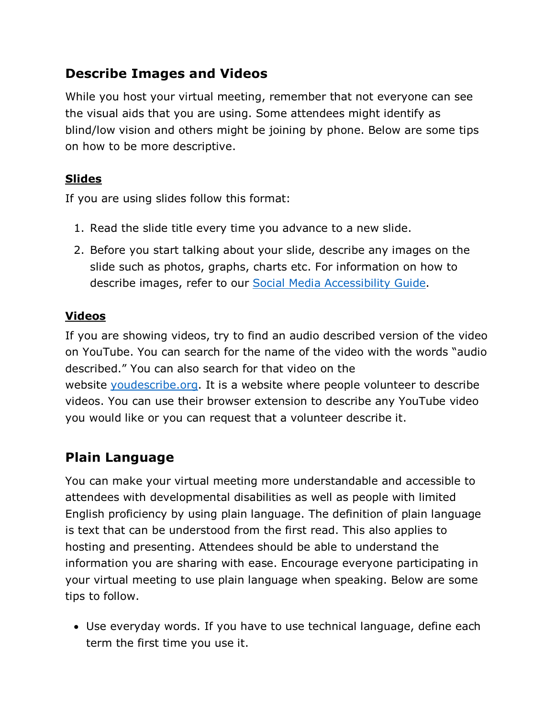### <span id="page-8-0"></span>**Describe Images and Videos**

While you host your virtual meeting, remember that not everyone can see the visual aids that you are using. Some attendees might identify as blind/low vision and others might be joining by phone. Below are some tips on how to be more descriptive.

### <span id="page-8-1"></span>**Slides**

If you are using slides follow this format:

- 1. Read the slide title every time you advance to a new slide.
- 2. Before you start talking about your slide, describe any images on the slide such as photos, graphs, charts etc. For information on how to describe images, refer to our [Social Media Accessibility Guide.](https://www1.nyc.gov/assets/mopd/downloads/pdf/Accessible-Social-Media-Guide-2019.pdf)

### <span id="page-8-2"></span>**Videos**

If you are showing videos, try to find an audio described version of the video on YouTube. You can search for the name of the video with the words "audio described." You can also search for that video on the website [youdescribe.org.](https://youdescribe.org/) It is a website where people volunteer to describe videos. You can use their browser extension to describe any YouTube video you would like or you can request that a volunteer describe it.

# <span id="page-8-3"></span>**Plain Language**

You can make your virtual meeting more understandable and accessible to attendees with developmental disabilities as well as people with limited English proficiency by using plain language. The definition of plain language is text that can be understood from the first read. This also applies to hosting and presenting. Attendees should be able to understand the information you are sharing with ease. Encourage everyone participating in your virtual meeting to use plain language when speaking. Below are some tips to follow.

• Use everyday words. If you have to use technical language, define each term the first time you use it.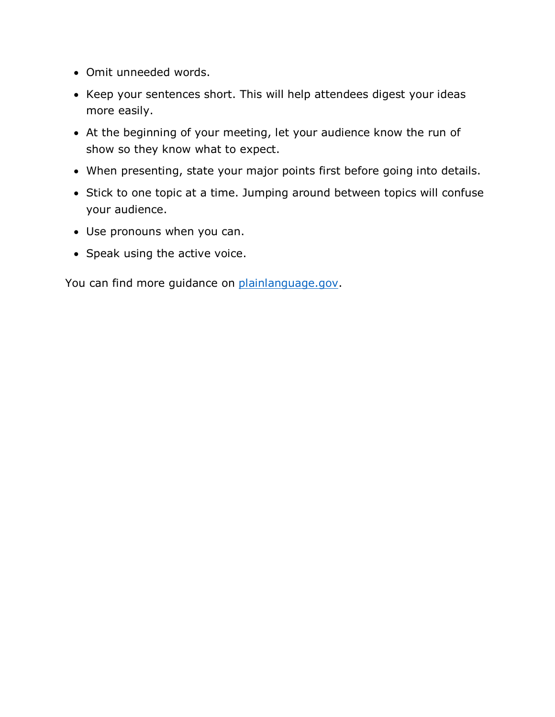- Omit unneeded words.
- Keep your sentences short. This will help attendees digest your ideas more easily.
- At the beginning of your meeting, let your audience know the run of show so they know what to expect.
- When presenting, state your major points first before going into details.
- Stick to one topic at a time. Jumping around between topics will confuse your audience.
- Use pronouns when you can.
- Speak using the active voice.

<span id="page-9-0"></span>You can find more guidance on <u>plainlanguage.gov</u>.